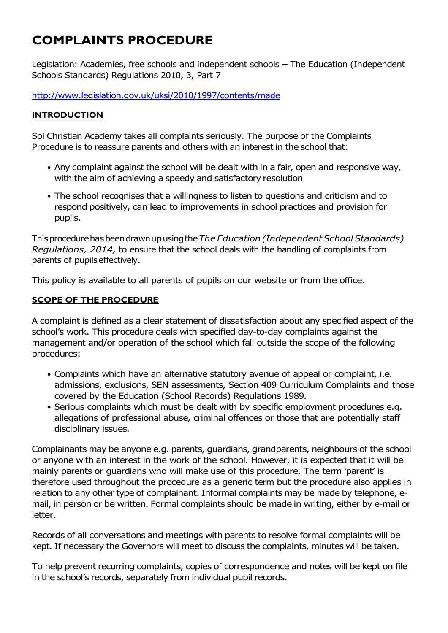# **COMPLAINTS PROCEDURE**

Legislation: Academies, free schools and independent schools – The Education (Independent Schools Standards) Regulations 2010, 3, Part 7

<http://www.legislation.gov.uk/uksi/2010/1997/contents/made>

## **INTRODUCTION**

Sol Christian Academy takes all complaints seriously. The purpose of the Complaints Procedure is to reassure parents and others with an interest in the school that:

- Any complaint against the school will be dealt with in a fair, open and responsive way, with the aim of achieving a speedy and satisfactory resolution
- The school recognises that a willingness to listen to questions and criticism and to respond positively, can lead to improvements in school practices and provision for pupils.

Thisprocedurehas beendrawnup usingthe*TheEducation(IndependentSchoolStandards) Regulations, 2014,* to ensure that the school deals with the handling of complaints from parents of pupils effectively.

This policy is available to all parents of pupils on our website or from the office.

## **SCOPE OF THE PROCEDURE**

A complaint is defined as a clear statement of dissatisfaction about any specified aspect of the school's work. This procedure deals with specified day-to-day complaints against the management and/or operation of the school which fall outside the scope of the following procedures:

- Complaints which have an alternative statutory avenue of appeal or complaint, i.e. admissions, exclusions, SEN assessments, Section 409 Curriculum Complaints and those covered by the Education (School Records) Regulations 1989.
- Serious complaints which must be dealt with by specific employment procedures e.g. allegations of professional abuse, criminal offences or those that are potentially staff disciplinary issues.

Complainants may be anyone e.g. parents, guardians, grandparents, neighbours of the school or anyone with an interest in the work of the school. However, it is expected that it will be mainly parents or guardians who will make use of this procedure. The term 'parent' is therefore used throughout the procedure as a generic term but the procedure also applies in relation to any other type of complainant. Informal complaints may be made by telephone, email, in person or be written. Formal complaints should be made in writing, either by e-mail or letter.

Records of all conversations and meetings with parents to resolve formal complaints will be kept. If necessary the Governors will meet to discuss the complaints, minutes will be taken.

To help prevent recurring complaints, copies of correspondence and notes will be kept on file in the school's records, separately from individual pupil records.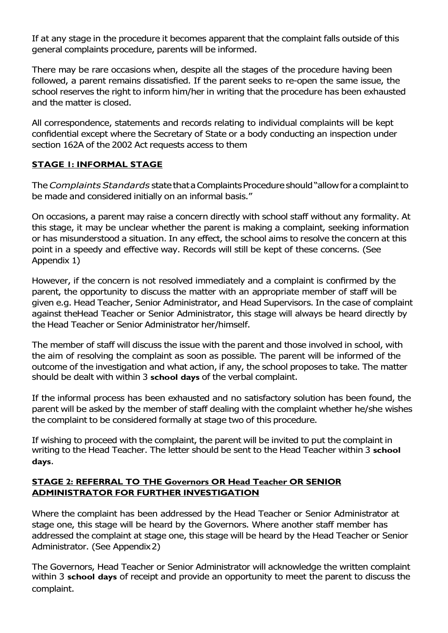If at any stage in the procedure it becomes apparent that the complaint falls outside of this general complaints procedure, parents will be informed.

There may be rare occasions when, despite all the stages of the procedure having been followed, a parent remains dissatisfied. If the parent seeks to re-open the same issue, the school reserves the right to inform him/her in writing that the procedure has been exhausted and the matter is closed.

All correspondence, statements and records relating to individual complaints will be kept confidential except where the Secretary of State or a body conducting an inspection under section 162A of the 2002 Act requests access to them

## **STAGE 1: INFORMAL STAGE**

The *Complaints Standards* state that a Complaints Procedure should "allow for a complaint to be made and considered initially on an informal basis."

On occasions, a parent may raise a concern directly with school staff without any formality. At this stage, it may be unclear whether the parent is making a complaint, seeking information or has misunderstood a situation. In any effect, the school aims to resolve the concern at this point in a speedy and effective way. Records will still be kept of these concerns. (See Appendix 1)

However, if the concern is not resolved immediately and a complaint is confirmed by the parent, the opportunity to discuss the matter with an appropriate member of staff will be given e.g. Head Teacher, Senior Administrator, and Head Supervisors. In the case of complaint against theHead Teacher or Senior Administrator, this stage will always be heard directly by the Head Teacher or Senior Administrator her/himself.

The member of staff will discuss the issue with the parent and those involved in school, with the aim of resolving the complaint as soon as possible. The parent will be informed of the outcome of the investigation and what action, if any, the school proposes to take. The matter should be dealt with within 3 **school days** of the verbal complaint.

If the informal process has been exhausted and no satisfactory solution has been found, the parent will be asked by the member of staff dealing with the complaint whether he/she wishes the complaint to be considered formally at stage two of this procedure.

If wishing to proceed with the complaint, the parent will be invited to put the complaint in writing to the Head Teacher. The letter should be sent to the Head Teacher within 3 **school days**.

## **STAGE 2: REFERRAL TO THE Governors OR Head Teacher OR SENIOR ADMINISTRATOR FOR FURTHER INVESTIGATION**

Where the complaint has been addressed by the Head Teacher or Senior Administrator at stage one, this stage will be heard by the Governors. Where another staff member has addressed the complaint at stage one, this stage will be heard by the Head Teacher or Senior Administrator. (See Appendix2)

The Governors, Head Teacher or Senior Administrator will acknowledge the written complaint within 3 **school days** of receipt and provide an opportunity to meet the parent to discuss the complaint.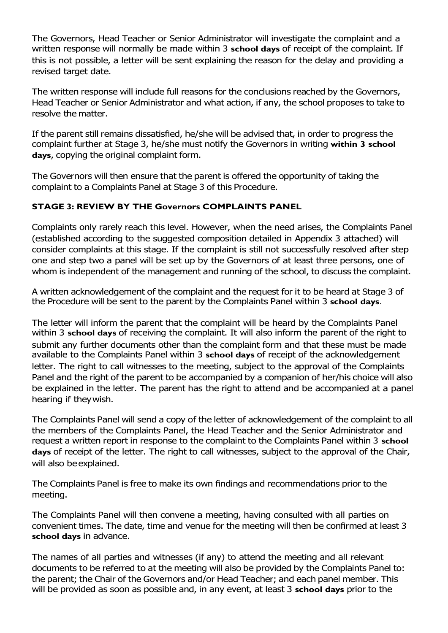The Governors, Head Teacher or Senior Administrator will investigate the complaint and a written response will normally be made within 3 **school days** of receipt of the complaint. If this is not possible, a letter will be sent explaining the reason for the delay and providing a revised target date.

The written response will include full reasons for the conclusions reached by the Governors, Head Teacher or Senior Administrator and what action, if any, the school proposes to take to resolve the matter.

If the parent still remains dissatisfied, he/she will be advised that, in order to progress the complaint further at Stage 3, he/she must notify the Governors in writing **within 3 school days**, copying the original complaint form.

The Governors will then ensure that the parent is offered the opportunity of taking the complaint to a Complaints Panel at Stage 3 of this Procedure.

## **STAGE 3: REVIEW BY THE Governors COMPLAINTS PANEL**

Complaints only rarely reach this level. However, when the need arises, the Complaints Panel (established according to the suggested composition detailed in Appendix 3 attached) will consider complaints at this stage. If the complaint is still not successfully resolved after step one and step two a panel will be set up by the Governors of at least three persons, one of whom is independent of the management and running of the school, to discuss the complaint.

A written acknowledgement of the complaint and the request for it to be heard at Stage 3 of the Procedure will be sent to the parent by the Complaints Panel within 3 **school days**.

The letter will inform the parent that the complaint will be heard by the Complaints Panel within 3 **school days** of receiving the complaint. It will also inform the parent of the right to submit any further documents other than the complaint form and that these must be made available to the Complaints Panel within 3 **school days** of receipt of the acknowledgement letter. The right to call witnesses to the meeting, subject to the approval of the Complaints Panel and the right of the parent to be accompanied by a companion of her/his choice will also be explained in the letter. The parent has the right to attend and be accompanied at a panel hearing if theywish.

The Complaints Panel will send a copy of the letter of acknowledgement of the complaint to all the members of the Complaints Panel, the Head Teacher and the Senior Administrator and request a written report in response to the complaint to the Complaints Panel within 3 **school days** of receipt of the letter. The right to call witnesses, subject to the approval of the Chair, will also beexplained.

The Complaints Panel is free to make its own findings and recommendations prior to the meeting.

The Complaints Panel will then convene a meeting, having consulted with all parties on convenient times. The date, time and venue for the meeting will then be confirmed at least 3 **school days** in advance.

The names of all parties and witnesses (if any) to attend the meeting and all relevant documents to be referred to at the meeting will also be provided by the Complaints Panel to: the parent; the Chair of the Governors and/or Head Teacher; and each panel member. This will be provided as soon as possible and, in any event, at least 3 **school days** prior to the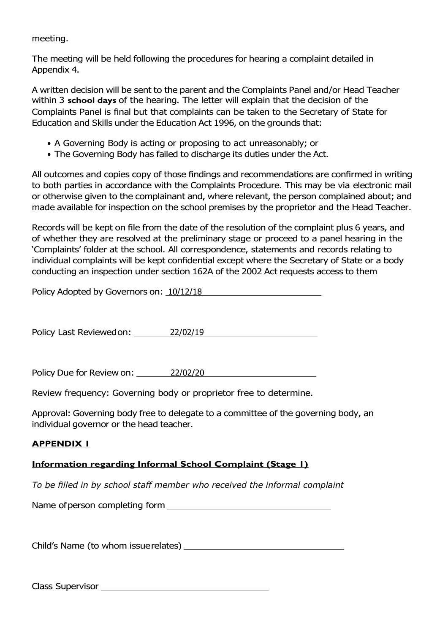meeting.

The meeting will be held following the procedures for hearing a complaint detailed in Appendix 4.

A written decision will be sent to the parent and the Complaints Panel and/or Head Teacher within 3 **school days** of the hearing. The letter will explain that the decision of the Complaints Panel is final but that complaints can be taken to the Secretary of State for Education and Skills under the Education Act 1996, on the grounds that:

- A Governing Body is acting or proposing to act unreasonably; or
- The Governing Body has failed to discharge its duties under the Act.

All outcomes and copies copy of those findings and recommendations are confirmed in writing to both parties in accordance with the Complaints Procedure. This may be via electronic mail or otherwise given to the complainant and, where relevant, the person complained about; and made available for inspection on the school premises by the proprietor and the Head Teacher.

Records will be kept on file from the date of the resolution of the complaint plus 6 years, and of whether they are resolved at the preliminary stage or proceed to a panel hearing in the 'Complaints' folder at the school. All correspondence, statements and records relating to individual complaints will be kept confidential except where the Secretary of State or a body conducting an inspection under section 162A of the 2002 Act requests access to them

| Policy Adopted by Governors on: 10/12/18 |  |
|------------------------------------------|--|
|------------------------------------------|--|

Policy Last Reviewedon: 22/02/19

Policy Due for Review on: 22/02/20

Review frequency: Governing body or proprietor free to determine.

Approval: Governing body free to delegate to a committee of the governing body, an individual governor or the head teacher.

## **APPENDIX 1**

## **Information regarding Informal School Complaint (Stage 1)**

*To be filled in by school staff member who received the informal complaint*

Name ofperson completing form

Child's Name (to whom issuerelates) \_\_\_\_\_\_\_\_\_\_\_\_

Class Supervisor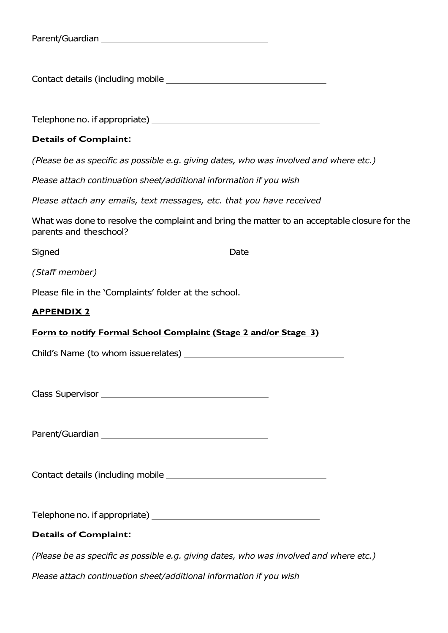|  | Parent/Guardian |
|--|-----------------|
|--|-----------------|

Contact details (including mobile

Telephone no. if appropriate)

#### **Details of Complaint**:

*(Please be as specific as possible e.g. giving dates, who was involved and where etc.)* 

*Please attach continuation sheet/additional information if you wish*

*Please attach any emails, text messages, etc. that you have received*

What was done to resolve the complaint and bring the matter to an acceptable closure for the parents and theschool?

Signed **Date** Date **Date** 

*(Staff member)*

Please file in the 'Complaints' folder at the school.

#### **APPENDIX 2**

#### **Form to notify Formal School Complaint (Stage 2 and/or Stage 3)**

Child's Name (to whom issuerelates)

Class Supervisor <u>Constantine and the set of the set of the set of the set of the set of the set of the set of the set of the set of the set of the set of the set of the set of the set of the set of the set of the set of t</u>

Parent/Guardian and the control of the control of the control of the control of the control of the control of the control of the control of the control of the control of the control of the control of the control of the con

Contact details (including mobile **contact details** (including mobile

Telephone no. if appropriate)

#### **Details of Complaint**:

*(Please be as specific as possible e.g. giving dates, who was involved and where etc.)* 

*Please attach continuation sheet/additional information if you wish*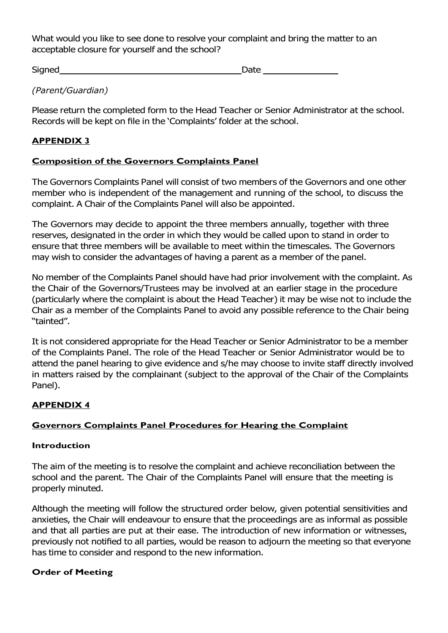What would you like to see done to resolve your complaint and bring the matter to an acceptable closure for yourself and the school?

Signed Date

*(Parent/Guardian)*

Please return the completed form to the Head Teacher or Senior Administrator at the school. Records will be kept on file in the 'Complaints' folder at the school.

## **APPENDIX 3**

## **Composition of the Governors Complaints Panel**

The Governors Complaints Panel will consist of two members of the Governors and one other member who is independent of the management and running of the school, to discuss the complaint. A Chair of the Complaints Panel will also be appointed.

The Governors may decide to appoint the three members annually, together with three reserves, designated in the order in which they would be called upon to stand in order to ensure that three members will be available to meet within the timescales. The Governors may wish to consider the advantages of having a parent as a member of the panel.

No member of the Complaints Panel should have had prior involvement with the complaint. As the Chair of the Governors/Trustees may be involved at an earlier stage in the procedure (particularly where the complaint is about the Head Teacher) it may be wise not to include the Chair as a member of the Complaints Panel to avoid any possible reference to the Chair being "tainted".

It is not considered appropriate for the Head Teacher or Senior Administrator to be a member of the Complaints Panel. The role of the Head Teacher or Senior Administrator would be to attend the panel hearing to give evidence and s/he may choose to invite staff directly involved in matters raised by the complainant (subject to the approval of the Chair of the Complaints Panel).

## **APPENDIX 4**

## **Governors Complaints Panel Procedures for Hearing the Complaint**

## **Introduction**

The aim of the meeting is to resolve the complaint and achieve reconciliation between the school and the parent. The Chair of the Complaints Panel will ensure that the meeting is properly minuted.

Although the meeting will follow the structured order below, given potential sensitivities and anxieties, the Chair will endeavour to ensure that the proceedings are as informal as possible and that all parties are put at their ease. The introduction of new information or witnesses, previously not notified to all parties, would be reason to adjourn the meeting so that everyone has time to consider and respond to the new information.

## **Order of Meeting**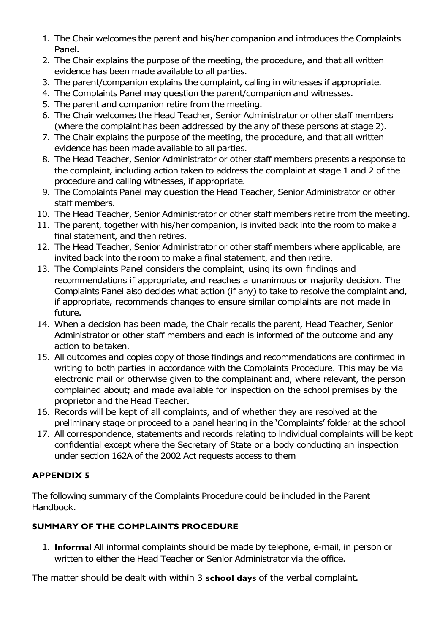- 1. The Chair welcomes the parent and his/her companion and introduces the Complaints Panel.
- 2. The Chair explains the purpose of the meeting, the procedure, and that all written evidence has been made available to all parties.
- 3. The parent/companion explains the complaint, calling in witnesses if appropriate.
- 4. The Complaints Panel may question the parent/companion and witnesses.
- 5. The parent and companion retire from the meeting.
- 6. The Chair welcomes the Head Teacher, Senior Administrator or other staff members (where the complaint has been addressed by the any of these persons at stage 2).
- 7. The Chair explains the purpose of the meeting, the procedure, and that all written evidence has been made available to all parties.
- 8. The Head Teacher, Senior Administrator or other staff members presents a response to the complaint, including action taken to address the complaint at stage 1 and 2 of the procedure and calling witnesses, if appropriate.
- 9. The Complaints Panel may question the Head Teacher, Senior Administrator or other staff members.
- 10. The Head Teacher, Senior Administrator or other staff members retire from the meeting.
- 11. The parent, together with his/her companion, is invited back into the room to make a final statement, and then retires.
- 12. The Head Teacher, Senior Administrator or other staff members where applicable, are invited back into the room to make a final statement, and then retire.
- 13. The Complaints Panel considers the complaint, using its own findings and recommendations if appropriate, and reaches a unanimous or majority decision. The Complaints Panel also decides what action (if any) to take to resolve the complaint and, if appropriate, recommends changes to ensure similar complaints are not made in future.
- 14. When a decision has been made, the Chair recalls the parent, Head Teacher, Senior Administrator or other staff members and each is informed of the outcome and any action to betaken.
- 15. All outcomes and copies copy of those findings and recommendations are confirmed in writing to both parties in accordance with the Complaints Procedure. This may be via electronic mail or otherwise given to the complainant and, where relevant, the person complained about; and made available for inspection on the school premises by the proprietor and the Head Teacher.
- 16. Records will be kept of all complaints, and of whether they are resolved at the preliminary stage or proceed to a panel hearing in the 'Complaints' folder at the school
- 17. All correspondence, statements and records relating to individual complaints will be kept confidential except where the Secretary of State or a body conducting an inspection under section 162A of the 2002 Act requests access to them

# **APPENDIX 5**

The following summary of the Complaints Procedure could be included in the Parent Handbook.

# **SUMMARY OF THE COMPLAINTS PROCEDURE**

1. **Informal** All informal complaints should be made by telephone, e-mail, in person or written to either the Head Teacher or Senior Administrator via the office.

The matter should be dealt with within 3 **school days** of the verbal complaint.